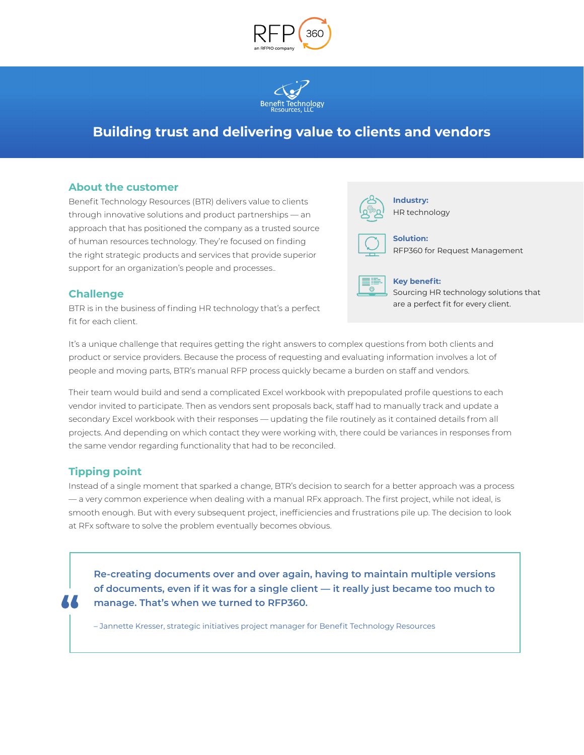



# **Building trust and delivering value to clients and vendors**

### **About the customer**

Benefit Technology Resources (BTR) delivers value to clients through innovative solutions and product partnerships — an approach that has positioned the company as a trusted source of human resources technology. They're focused on finding the right strategic products and services that provide superior support for an organization's people and processes..

## **Challenge**

BTR is in the business of finding HR technology that's a perfect fit for each client.



**Industry:** HR technology



**Solution:** RFP360 for Request Management



### **Key benefit:** Sourcing HR technology solutions that are a perfect fit for every client.

It's a unique challenge that requires getting the right answers to complex questions from both clients and product or service providers. Because the process of requesting and evaluating information involves a lot of people and moving parts, BTR's manual RFP process quickly became a burden on staff and vendors.

Their team would build and send a complicated Excel workbook with prepopulated profile questions to each vendor invited to participate. Then as vendors sent proposals back, staff had to manually track and update a secondary Excel workbook with their responses — updating the file routinely as it contained details from all projects. And depending on which contact they were working with, there could be variances in responses from the same vendor regarding functionality that had to be reconciled.

# **Tipping point**

Instead of a single moment that sparked a change, BTR's decision to search for a better approach was a process — a very common experience when dealing with a manual RFx approach. The first project, while not ideal, is smooth enough. But with every subsequent project, inefficiencies and frustrations pile up. The decision to look at RFx software to solve the problem eventually becomes obvious.

**Re-creating documents over and over again, having to maintain multiple versions of documents, even if it was for a single client — it really just became too much to manage. That's when we turned to RFP360.**

– Jannette Kresser, strategic initiatives project manager for Benefit Technology Resources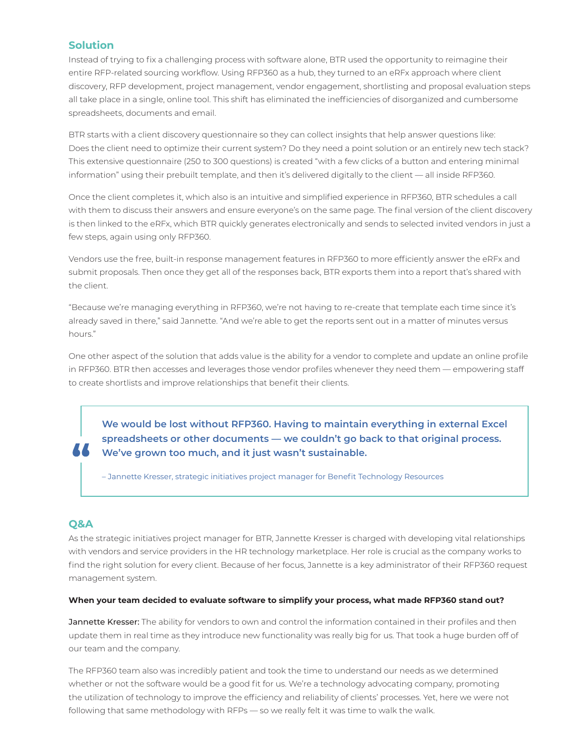## **Solution**

Instead of trying to fix a challenging process with software alone, BTR used the opportunity to reimagine their entire RFP-related sourcing workflow. Using RFP360 as a hub, they turned to an eRFx approach where client discovery, RFP development, project management, vendor engagement, shortlisting and proposal evaluation steps all take place in a single, online tool. This shift has eliminated the inefficiencies of disorganized and cumbersome spreadsheets, documents and email.

BTR starts with a client discovery questionnaire so they can collect insights that help answer questions like: Does the client need to optimize their current system? Do they need a point solution or an entirely new tech stack? This extensive questionnaire (250 to 300 questions) is created "with a few clicks of a button and entering minimal information" using their prebuilt template, and then it's delivered digitally to the client — all inside RFP360.

Once the client completes it, which also is an intuitive and simplified experience in RFP360, BTR schedules a call with them to discuss their answers and ensure everyone's on the same page. The final version of the client discovery is then linked to the eRFx, which BTR quickly generates electronically and sends to selected invited vendors in just a few steps, again using only RFP360.

Vendors use the free, built-in response management features in RFP360 to more efficiently answer the eRFx and submit proposals. Then once they get all of the responses back, BTR exports them into a report that's shared with the client.

"Because we're managing everything in RFP360, we're not having to re-create that template each time since it's already saved in there," said Jannette. "And we're able to get the reports sent out in a matter of minutes versus hours."

One other aspect of the solution that adds value is the ability for a vendor to complete and update an online profile in RFP360. BTR then accesses and leverages those vendor profiles whenever they need them — empowering staff to create shortlists and improve relationships that benefit their clients.

**We would be lost without RFP360. Having to maintain everything in external Excel spreadsheets or other documents — we couldn't go back to that original process. We've grown too much, and it just wasn't sustainable.**

– Jannette Kresser, strategic initiatives project manager for Benefit Technology Resources

# **Q&A**

As the strategic initiatives project manager for BTR, Jannette Kresser is charged with developing vital relationships with vendors and service providers in the HR technology marketplace. Her role is crucial as the company works to find the right solution for every client. Because of her focus, Jannette is a key administrator of their RFP360 request management system.

### **When your team decided to evaluate software to simplify your process, what made RFP360 stand out?**

Jannette Kresser: The ability for vendors to own and control the information contained in their profiles and then update them in real time as they introduce new functionality was really big for us. That took a huge burden off of our team and the company.

The RFP360 team also was incredibly patient and took the time to understand our needs as we determined whether or not the software would be a good fit for us. We're a technology advocating company, promoting the utilization of technology to improve the efficiency and reliability of clients' processes. Yet, here we were not following that same methodology with RFPs — so we really felt it was time to walk the walk.